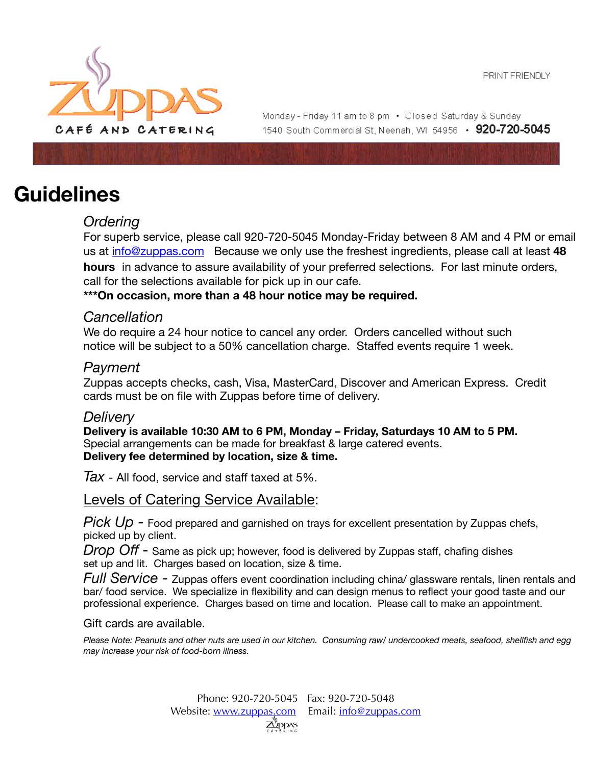

Monday - Friday 11 am to 8 pm • Closed Saturday & Sunday 1540 South Commercial St. Neenah. WI 54956 • 920-720-5045

# **Guidelines**

## *Ordering*

For superb service, please call 920-720-5045 Monday-Friday between 8 AM and 4 PM or email us at [info@zuppas.com](mailto:info@zuppas.com) Because we only use the freshest ingredients, please call at least **48 hours** in advance to assure availability of your preferred selections. For last minute orders, call for the selections available for pick up in our cafe.

**\*\*\*On occasion, more than a 48 hour notice may be required.** 

### *Cancellation*

We do require a 24 hour notice to cancel any order. Orders cancelled without such notice will be subject to a 50% cancellation charge. Staffed events require 1 week.

### *Payment*

Zuppas accepts checks, cash, Visa, MasterCard, Discover and American Express. Credit cards must be on file with Zuppas before time of delivery.

#### *Delivery*

**Delivery is available 10:30 AM to 6 PM, Monday – Friday, Saturdays 10 AM to 5 PM.**  Special arrangements can be made for breakfast & large catered events. **Delivery fee determined by location, size & time.** 

*Tax -* All food, service and staff taxed at 5%.

Levels of Catering Service Available:

*Pick Up - Food prepared and garnished on trays for excellent presentation by Zuppas chefs,* picked up by client.

*Drop Off* - Same as pick up; however, food is delivered by Zuppas staff, chafing dishes set up and lit. Charges based on location, size & time.

*Full Service* - Zuppas offers event coordination including china/ glassware rentals, linen rentals and bar/ food service. We specialize in flexibility and can design menus to reflect your good taste and our professional experience. Charges based on time and location. Please call to make an appointment.

Gift cards are available.

*Please Note: Peanuts and other nuts are used in our kitchen. Consuming raw/ undercooked meats, seafood, shellfish and egg may increase your risk of food-born illness.*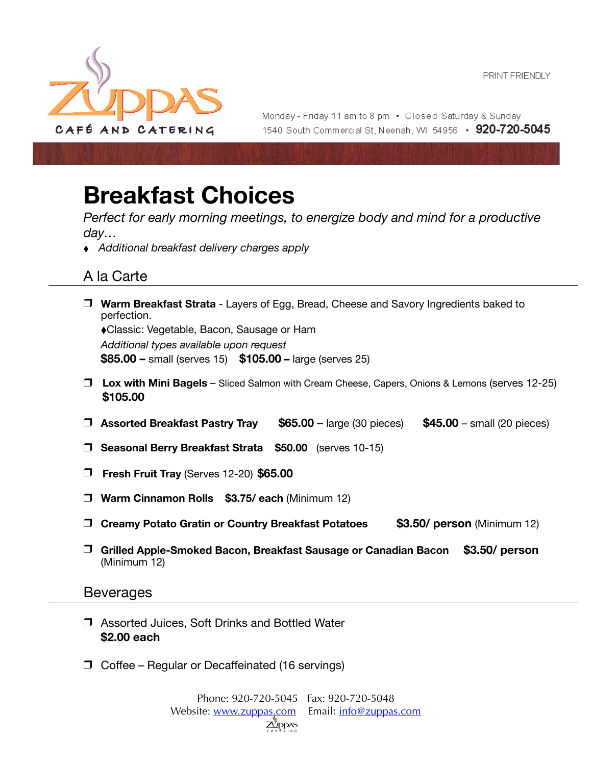

Monday - Friday 11 am to 8 pm • Closed Saturday & Sunday 1540 South Commercial St. Neenah. WI 54956 • 920-720-5045

# **Breakfast Choices**

*Perfect for early morning meetings, to energize body and mind for a productive day…* 

 ⬧ *Additional breakfast delivery charges apply* 

## A la Carte

- ❒ **Warm Breakfast Strata** Layers of Egg, Bread, Cheese and Savory Ingredients baked to perfection. ⬧Classic: Vegetable, Bacon, Sausage or Ham *Additional types available upon request*  **\$85.00 –** small (serves 15) **\$105.00 –** large (serves 25)
- ❒ **Lox with Mini Bagels** Sliced Salmon with Cream Cheese, Capers, Onions & Lemons (serves 12-25) **\$105.00**
- ❒ **Assorted Breakfast Pastry Tray \$65.00**  large (30 pieces) **\$45.00**  small (20 pieces)
- ❒ **Seasonal Berry Breakfast Strata \$50.00** (serves 10-15)
- ❒ **Fresh Fruit Tray** (Serves 12-20) **\$65.00**
- ❒ **Warm Cinnamon Rolls \$3.75/ each** (Minimum 12)
- ❒ **Creamy Potato Gratin or Country Breakfast Potatoes \$3.50/ person** (Minimum 12)
- ❒ **Grilled Apple-Smoked Bacon, Breakfast Sausage or Canadian Bacon \$3.50/ person**  (Minimum 12)

#### Beverages

- ❒ Assorted Juices, Soft Drinks and Bottled Water **\$2.00 each**
- ❒ Coffee Regular or Decaffeinated (16 servings)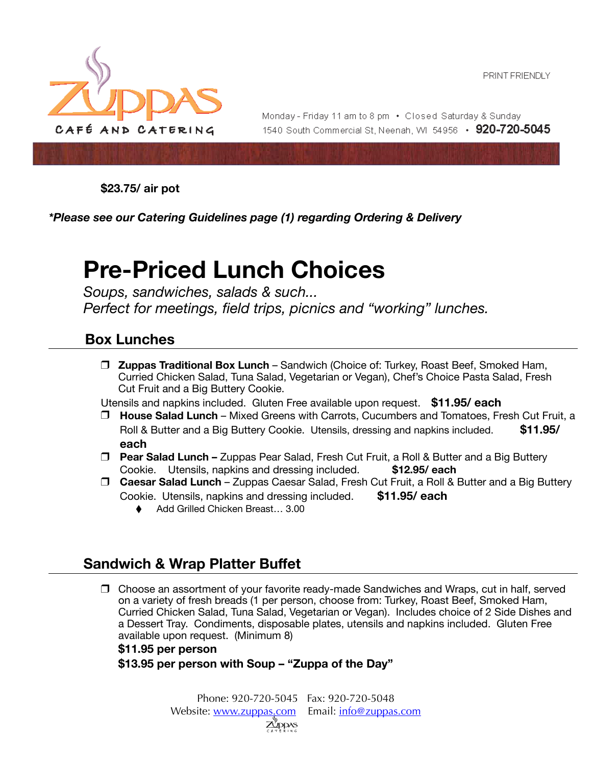

Monday - Friday 11 am to 8 pm • Closed Saturday & Sunday 1540 South Commercial St, Neenah, WI 54956 • 920-720-5045

**\$23.75/ air pot** 

*\*Please see our Catering Guidelines page (1) regarding Ordering & Delivery* 

# **Pre-Priced Lunch Choices**

*Soups, sandwiches, salads & such... Perfect for meetings, field trips, picnics and "working" lunches.* 

## **Box Lunches**

❒ **Zuppas Traditional Box Lunch** – Sandwich (Choice of: Turkey, Roast Beef, Smoked Ham, Curried Chicken Salad, Tuna Salad, Vegetarian or Vegan), Chef's Choice Pasta Salad, Fresh Cut Fruit and a Big Buttery Cookie. 

Utensils and napkins included. Gluten Free available upon request. **\$11.95/ each** 

- ❒ **House Salad Lunch** Mixed Greens with Carrots, Cucumbers and Tomatoes, Fresh Cut Fruit, a Roll & Butter and a Big Buttery Cookie. Utensils, dressing and napkins included. **\$11.95/ each**
- ❒ **Pear Salad Lunch** Zuppas Pear Salad, Fresh Cut Fruit, a Roll & Butter and a Big Buttery Cookie.Utensils, napkins and dressing included. **\$12.95/ each**
- ❒ **Caesar Salad Lunch**  Zuppas Caesar Salad, Fresh Cut Fruit, a Roll & Butter and a Big Buttery Cookie. Utensils, napkins and dressing included. **\$11.95/ each** 
	- ⬧ Add Grilled Chicken Breast… 3.00

## **Sandwich & Wrap Platter Buffet**

❒ Choose an assortment of your favorite ready-made Sandwiches and Wraps, cut in half, served on a variety of fresh breads (1 per person, choose from: Turkey, Roast Beef, Smoked Ham, Curried Chicken Salad, Tuna Salad, Vegetarian or Vegan). Includes choice of 2 Side Dishes and a Dessert Tray. Condiments, disposable plates, utensils and napkins included. Gluten Free available upon request. (Minimum 8)

#### **\$11.95 per person \$13.95 per person with Soup – "Zuppa of the Day"**

Phone: 920-720-5045 Fax: 920-720-5048 Website: [www.zuppas.com](http://www.zuppas.com) Email: [info@zuppas.com](mailto:info@zuppas.com)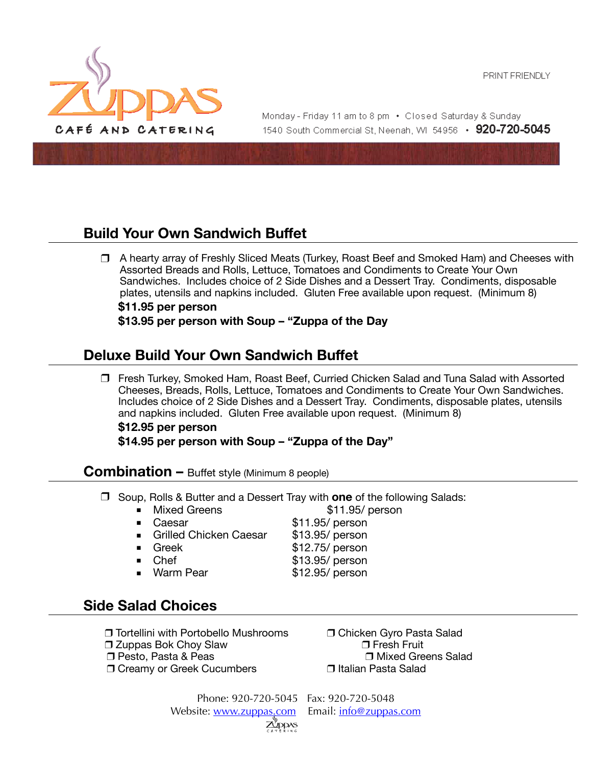

Monday - Friday 11 am to 8 pm • Closed Saturday & Sunday 1540 South Commercial St. Neenah. WI 54956 • 920-720-5045

## **Build Your Own Sandwich Buffet**

❒ A hearty array of Freshly Sliced Meats (Turkey, Roast Beef and Smoked Ham) and Cheeses with Assorted Breads and Rolls, Lettuce, Tomatoes and Condiments to Create Your Own Sandwiches. Includes choice of 2 Side Dishes and a Dessert Tray. Condiments, disposable plates, utensils and napkins included. Gluten Free available upon request. (Minimum 8) **\$11.95 per person** 

**\$13.95 per person with Soup – "Zuppa of the Day**

## **Deluxe Build Your Own Sandwich Buffet**

❒ Fresh Turkey, Smoked Ham, Roast Beef, Curried Chicken Salad and Tuna Salad with Assorted Cheeses, Breads, Rolls, Lettuce, Tomatoes and Condiments to Create Your Own Sandwiches. Includes choice of 2 Side Dishes and a Dessert Tray. Condiments, disposable plates, utensils and napkins included. Gluten Free available upon request. (Minimum 8)

**\$12.95 per person \$14.95 per person with Soup – "Zuppa of the Day"** 

#### **Combination –** Buffet style (Minimum 8 people)

❒ Soup, Rolls & Butter and a Dessert Tray with **one** of the following Salads:

■ Mixed Greens **\$11.95/ person** 

- Caesar \$11.95/ person Grilled Chicken Caesar \$13.95/ person ■ Greek \$12.75/ person Chef S13.95/ person
- Warm Pear \$12.95/ person

## **Side Salad Choices**

- ❒ Tortellini with Portobello Mushrooms ❒ Chicken Gyro Pasta Salad
- 
- 
- ❒ Creamy or Greek Cucumbers ❒ Italian Pasta Salad

 ❒ Zuppas Bok Choy Slaw ❒ Fresh Fruit ❒ Pesto, Pasta & Peas ❒ Mixed Greens Salad

> Phone: 920-720-5045 Fax: 920-720-5048 Website: [www.zuppas.com](http://www.zuppas.com) Email: [info@zuppas.com](mailto:info@zuppas.com)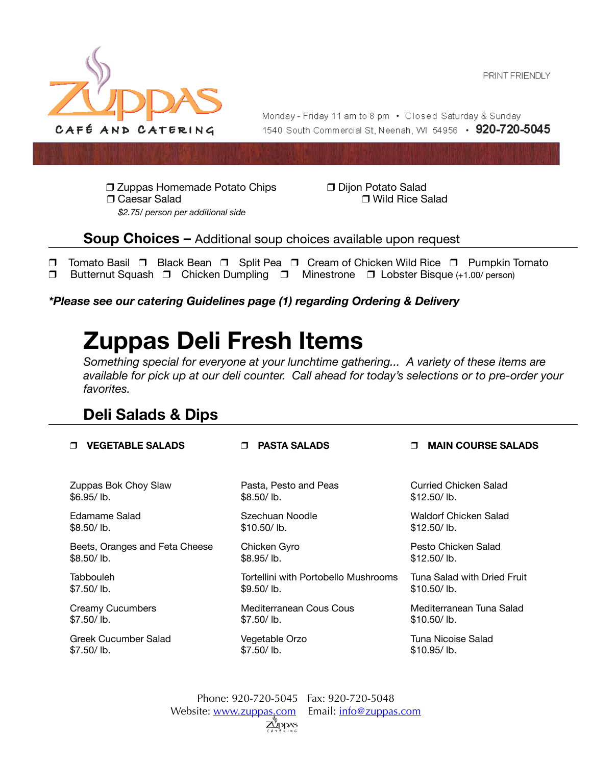

Monday - Friday 11 am to 8 pm • Closed Saturday & Sunday 1540 South Commercial St. Neenah. WI 54956 • 920-720-5045

❒ Zuppas Homemade Potato Chips ❒ Dijon Potato Salad ❒ Caesar Salad ❒ Wild Rice Salad *\$2.75/ person per additional side*

**Soup Choices –** Additional soup choices available upon request

❒ Tomato Basil ❒ Black Bean ❒ Split Pea ❒ Cream of Chicken Wild Rice ❒ Pumpkin Tomato ❒ Butternut Squash ❒ Chicken Dumpling ❒ Minestrone ❒ Lobster Bisque (+1.00/ person)

*\*Please see our catering Guidelines page (1) regarding Ordering & Delivery* 

# **Zuppas Deli Fresh Items**

*Something special for everyone at your lunchtime gathering... A variety of these items are available for pick up at our deli counter. Call ahead for today's selections or to pre-order your favorites.* 

## **Deli Salads & Dips**

| <b>VEGETABLE SALADS</b>        | <b>PASTA SALADS</b>                  | <b>MAIN COURSE SALADS</b>   |
|--------------------------------|--------------------------------------|-----------------------------|
|                                |                                      |                             |
| Zuppas Bok Choy Slaw           | Pasta, Pesto and Peas                | Curried Chicken Salad       |
| \$6.95/lb.                     | \$8.50/lb.                           | \$12.50/lb.                 |
| Edamame Salad                  | Szechuan Noodle                      | Waldorf Chicken Salad       |
| \$8.50/lb.                     | $$10.50/$ lb.                        | $$12.50/$ lb.               |
| Beets, Oranges and Feta Cheese | Chicken Gyro                         | Pesto Chicken Salad         |
| \$8.50/lb.                     | \$8.95/lb.                           | \$12.50/lb.                 |
| Tabbouleh                      | Tortellini with Portobello Mushrooms | Tuna Salad with Dried Fruit |
| \$7.50/lb.                     | \$9.50/lb.                           | $$10.50/$ lb.               |
| <b>Creamy Cucumbers</b>        | Mediterranean Cous Cous              | Mediterranean Tuna Salad    |
| \$7.50/lb.                     | $$7.50/$ lb.                         | $$10.50/$ lb.               |
| Greek Cucumber Salad           | Vegetable Orzo                       | Tuna Nicoise Salad          |
| \$7.50/lb.                     | \$7.50/lb.                           | $$10.95/$ lb.               |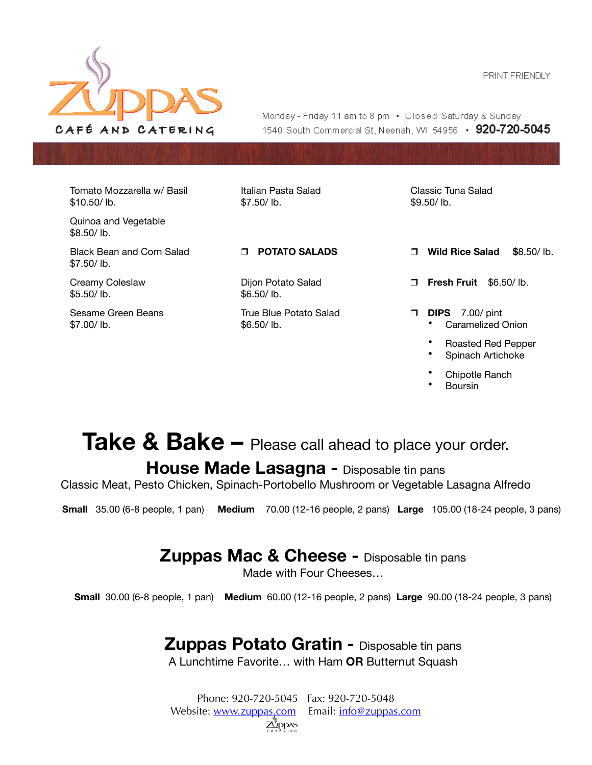

Monday - Friday 11 am to 8 pm • Closed Saturday & Sunday 1540 South Commercial St. Neenah. WI 54956 • 920-720-5045

Tomato Mozzarella w/ Basil \$10.50/ lb.

Black Bean and Corn Salad

Quinoa and Vegetable

\$8.50/ lb.

 $$7.50/lh$ 

\$5.50/ lb.

\$7.00/ lb.

Creamy Coleslaw

Sesame Green Beans

Italian Pasta Salad \$7.50/ lb.

Dijon Potato Salad \$6.50/ lb.

True Blue Potato Salad \$6.50/ lb.

\$9.50/ lb.

Classic Tuna Salad

❒ **POTATO SALADS** ❒ **Wild Rice Salad \$**8.50/ lb.

❒ **Fresh Fruit** \$6.50/ lb.

- ❒ **DIPS** 7.00/ pint • Caramelized Onion
	- Roasted Red Pepper
	- Spinach Artichoke
	-
	- Chipotle Ranch
	- Boursin

# Take & Bake – Please call ahead to place your order. **House Made Lasagna -** Disposable tin pans

Classic Meat, Pesto Chicken, Spinach-Portobello Mushroom or Vegetable Lasagna Alfredo

 **Small** 35.00 (6-8 people, 1 pan) **Medium** 70.00 (12-16 people, 2 pans) **Large** 105.00 (18-24 people, 3 pans)

## **Zuppas Mac & Cheese -** Disposable tin pans

Made with Four Cheeses…

**Small** 30.00 (6-8 people, 1 pan) **Medium** 60.00 (12-16 people, 2 pans) **Large** 90.00 (18-24 people, 3 pans)

## **Zuppas Potato Gratin -** Disposable tin pans

A Lunchtime Favorite… with Ham **OR** Butternut Squash

Phone: 920-720-5045 Fax: 920-720-5048 Website: [www.zuppas.com](http://www.zuppas.com) Email: [info@zuppas.com](mailto:info@zuppas.com) Z<sup>y</sup>ddas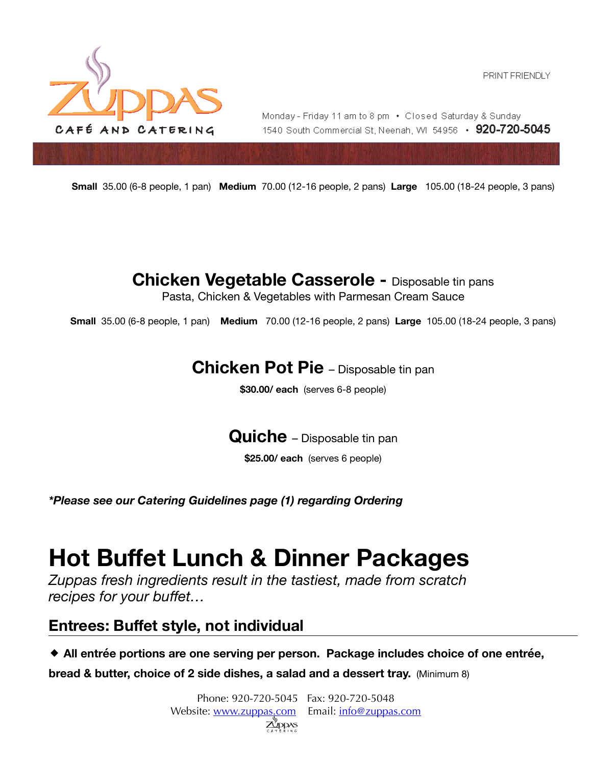

Monday - Friday 11 am to 8 pm • Closed Saturday & Sunday 1540 South Commercial St. Neenah. WI 54956 • 920-720-5045

**Small** 35.00 (6-8 people, 1 pan) **Medium** 70.00 (12-16 people, 2 pans) **Large** 105.00 (18-24 people, 3 pans)

**Chicken Vegetable Casserole -** Disposable tin pans Pasta, Chicken & Vegetables with Parmesan Cream Sauce

**Small** 35.00 (6-8 people, 1 pan) **Medium** 70.00 (12-16 people, 2 pans) **Large** 105.00 (18-24 people, 3 pans)

## **Chicken Pot Pie** – Disposable tin pan

**\$30.00/ each** (serves 6-8 people)

**Quiche** – Disposable tin pan

**\$25.00/ each** (serves 6 people)

*\*Please see our Catering Guidelines page (1) regarding Ordering* 

# **Hot Buffet Lunch & Dinner Packages**

*Zuppas fresh ingredients result in the tastiest, made from scratch recipes for your buffet...* 

## **Entrees: Buffet style, not individual**

◆ All entrée portions are one serving per person. Package includes choice of one entrée,

**bread & butter, choice of 2 side dishes, a salad and a dessert tray.** (Minimum 8)

Phone: 920-720-5045 Fax: 920-720-5048 Website: [www.zuppas.com](http://www.zuppas.com) Email: [info@zuppas.com](mailto:info@zuppas.com)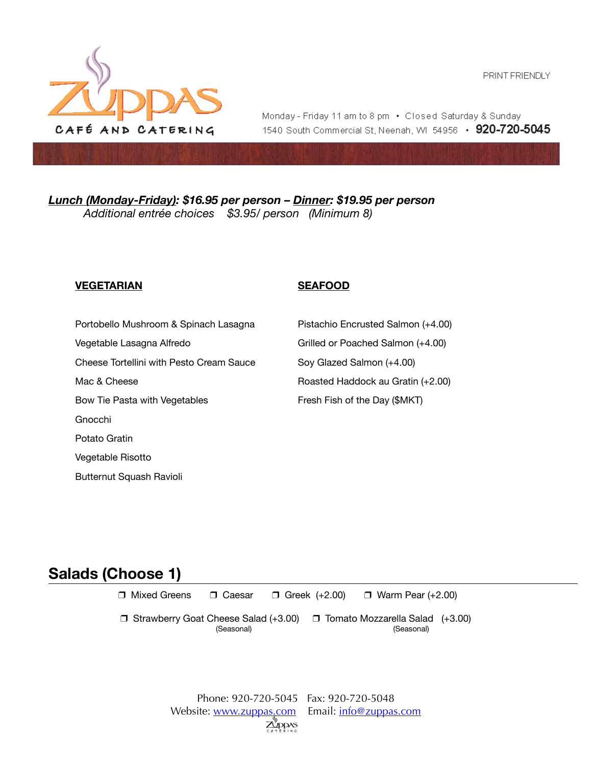

Monday - Friday 11 am to 8 pm • Closed Saturday & Sunday 1540 South Commercial St, Neenah, WI 54956 • 920-720-5045

*Lunch (Monday-Friday): \$16.95 per person – Dinner: \$19.95 per person Additional entrée choices \$3.95/ person (Minimum 8)* 

#### **VEGETARIAN SEAFOOD**

Portobello Mushroom & Spinach Lasagna Pistachio Encrusted Salmon (+4.00)

Cheese Tortellini with Pesto Cream Sauce Soy Glazed Salmon (+4.00)

Bow Tie Pasta with Vegetables Fresh Fish of the Day (\$MKT)

Gnocchi

Potato Gratin

Vegetable Risotto

Butternut Squash Ravioli

Vegetable Lasagna Alfredo Grilled or Poached Salmon (+4.00) Mac & Cheese **Roasted Haddock au Gratin (+2.00)** Roasted Haddock au Gratin (+2.00)

## **Salads (Choose 1)**

❒ Mixed Greens ❒ Caesar ❒ Greek (+2.00) ❒ Warm Pear (+2.00) 

❒ Strawberry Goat Cheese Salad (+3.00) ❒ Tomato Mozzarella Salad (+3.00) **Example 19** (Seasonal) **Containers (Seasonal) Containers (Seasonal**)

> Phone: 920-720-5045 Fax: 920-720-5048 Website: [www.zuppas.com](http://www.zuppas.com) Email: [info@zuppas.com](mailto:info@zuppas.com) ,<br>ZDDAS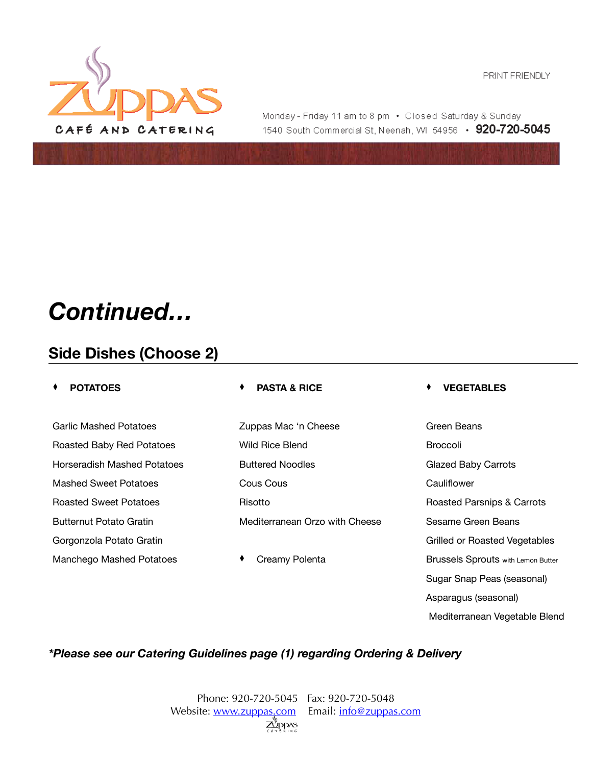

Monday - Friday 11 am to 8 pm • Closed Saturday & Sunday 1540 South Commercial St, Neenah, WI 54956 • 920-720-5045

# *Continued…*

## **Side Dishes (Choose 2)**

Garlic Mashed Potatoes Zuppas Mac 'n Cheese Green Beans Roasted Baby Red Potatoes **Millers** Wild Rice Blend Broccoli Horseradish Mashed Potatoes **Buttered Noodles** Glazed Baby Carrots Mashed Sweet Potatoes Cous Cous Cauliflower Roasted Sweet Potatoes **Risotto Risotto Roasted Parsnips & Carrots** Roasted Parsnips & Carrots Butternut Potato Gratin The Mediterranean Orzo with Cheese Sesame Green Beans Gorgonzola Potato Gratin Gratin Gratin Gratin Gratin Gratin Gratin Grilled or Roasted Vegetables

#### ⧫ **POTATOES** ⧫ **PASTA & RICE** ⧫ **VEGETABLES**

Manchego Mashed Potatoes  $\begin{array}{ccc} \bullet & \text{Creamy Polenta} \end{array}$  Brussels Sprouts with Lemon Butter Sugar Snap Peas (seasonal) Asparagus (seasonal) Mediterranean Vegetable Blend

#### *\*Please see our Catering Guidelines page (1) regarding Ordering & Delivery*

Phone: 920-720-5045 Fax: 920-720-5048 Website: [www.zuppas.com](http://www.zuppas.com) Email: [info@zuppas.com](mailto:info@zuppas.com) ZUDDAS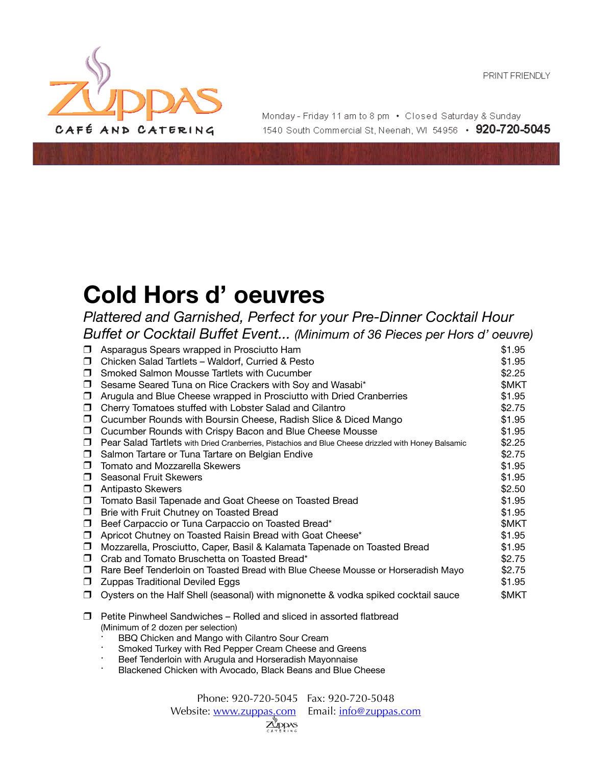

Monday - Friday 11 am to 8 pm • Closed Saturday & Sunday 1540 South Commercial St. Neenah, WI 54956 • 920-720-5045

# **Cold Hors d' oeuvres**

*Plattered and Garnished, Perfect for your Pre-Dinner Cocktail Hour Buffet or Cocktail Buffet Event... (Minimum of 36 Pieces per Hors d' oeuvre)*

| ⊓      | Asparagus Spears wrapped in Prosciutto Ham                                                                                                                   | \$1.95 |
|--------|--------------------------------------------------------------------------------------------------------------------------------------------------------------|--------|
| $\Box$ | Chicken Salad Tartlets - Waldorf, Curried & Pesto                                                                                                            | \$1.95 |
| $\Box$ | Smoked Salmon Mousse Tartlets with Cucumber                                                                                                                  | \$2.25 |
| □      | Sesame Seared Tuna on Rice Crackers with Soy and Wasabi*                                                                                                     | \$MKT  |
| $\Box$ | Arugula and Blue Cheese wrapped in Prosciutto with Dried Cranberries                                                                                         | \$1.95 |
| □      | Cherry Tomatoes stuffed with Lobster Salad and Cilantro                                                                                                      | \$2.75 |
| $\Box$ | Cucumber Rounds with Boursin Cheese, Radish Slice & Diced Mango                                                                                              | \$1.95 |
| □      | Cucumber Rounds with Crispy Bacon and Blue Cheese Mousse                                                                                                     | \$1.95 |
| $\Box$ | Pear Salad Tartlets with Dried Cranberries, Pistachios and Blue Cheese drizzled with Honey Balsamic                                                          | \$2.25 |
| $\Box$ | Salmon Tartare or Tuna Tartare on Belgian Endive                                                                                                             | \$2.75 |
| □      | Tomato and Mozzarella Skewers                                                                                                                                | \$1.95 |
| $\Box$ | <b>Seasonal Fruit Skewers</b>                                                                                                                                | \$1.95 |
| □      | Antipasto Skewers                                                                                                                                            | \$2.50 |
| $\Box$ | Tomato Basil Tapenade and Goat Cheese on Toasted Bread                                                                                                       | \$1.95 |
| □      | Brie with Fruit Chutney on Toasted Bread                                                                                                                     | \$1.95 |
| $\Box$ | Beef Carpaccio or Tuna Carpaccio on Toasted Bread*                                                                                                           | \$MKT  |
| $\Box$ | Apricot Chutney on Toasted Raisin Bread with Goat Cheese*                                                                                                    | \$1.95 |
| $\Box$ | Mozzarella, Prosciutto, Caper, Basil & Kalamata Tapenade on Toasted Bread                                                                                    | \$1.95 |
| $\Box$ | Crab and Tomato Bruschetta on Toasted Bread*                                                                                                                 | \$2.75 |
| $\Box$ | Rare Beef Tenderloin on Toasted Bread with Blue Cheese Mousse or Horseradish Mayo                                                                            | \$2.75 |
| □      | <b>Zuppas Traditional Deviled Eggs</b>                                                                                                                       | \$1.95 |
| □      | Oysters on the Half Shell (seasonal) with mignonette & vodka spiked cocktail sauce                                                                           | \$MKT  |
| $\Box$ | Petite Pinwheel Sandwiches – Rolled and sliced in assorted flatbread<br>(Minimum of 2 dozen per selection)<br>BBQ Chicken and Mango with Cilantro Sour Cream |        |

- Smoked Turkey with Red Pepper Cream Cheese and Greens
- Beef Tenderloin with Arugula and Horseradish Mayonnaise
- Blackened Chicken with Avocado, Black Beans and Blue Cheese

Phone: 920-720-5045 Fax: 920-720-5048 Website: [www.zuppas.com](http://www.zuppas.com) Email: [info@zuppas.com](mailto:info@zuppas.com) DDAS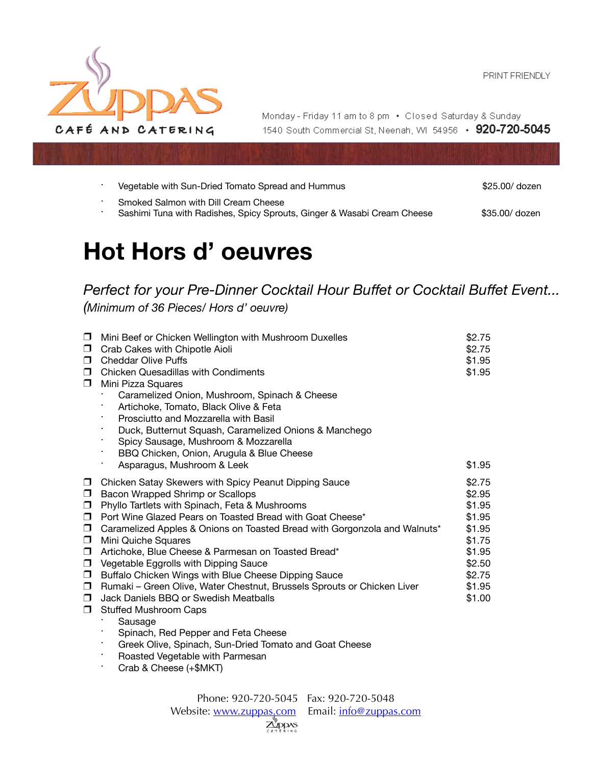

Monday - Friday 11 am to 8 pm • Closed Saturday & Sunday 1540 South Commercial St, Neenah, WI 54956 • 920-720-5045

| Vegetable with Sun-Dried Tomato Spread and Hummus                                                               | \$25.00/ dozen |
|-----------------------------------------------------------------------------------------------------------------|----------------|
| Smoked Salmon with Dill Cream Cheese<br>Sashimi Tuna with Radishes, Spicy Sprouts, Ginger & Wasabi Cream Cheese | \$35,00/ dozen |

# **Hot Hors d' oeuvres**

*Perfect for your Pre-Dinner Cocktail Hour Buffet or Cocktail Buffet Event... (Minimum of 36 Pieces/ Hors d' oeuvre)*

| $\Box$<br>$\Box$<br>$\Box$<br>$\Box$<br>$\Box$                                                                  | Mini Beef or Chicken Wellington with Mushroom Duxelles<br>Crab Cakes with Chipotle Aioli<br><b>Cheddar Olive Puffs</b><br><b>Chicken Quesadillas with Condiments</b><br>Mini Pizza Squares<br>Caramelized Onion, Mushroom, Spinach & Cheese<br>Artichoke, Tomato, Black Olive & Feta<br>Prosciutto and Mozzarella with Basil<br>Duck, Butternut Squash, Caramelized Onions & Manchego<br>Spicy Sausage, Mushroom & Mozzarella<br>BBQ Chicken, Onion, Arugula & Blue Cheese<br>$\bullet$                                                                                                                                                                                                                                                                                                           | \$2.75<br>\$2.75<br>\$1.95<br>\$1.95                                                                       |
|-----------------------------------------------------------------------------------------------------------------|---------------------------------------------------------------------------------------------------------------------------------------------------------------------------------------------------------------------------------------------------------------------------------------------------------------------------------------------------------------------------------------------------------------------------------------------------------------------------------------------------------------------------------------------------------------------------------------------------------------------------------------------------------------------------------------------------------------------------------------------------------------------------------------------------|------------------------------------------------------------------------------------------------------------|
|                                                                                                                 | Asparagus, Mushroom & Leek                                                                                                                                                                                                                                                                                                                                                                                                                                                                                                                                                                                                                                                                                                                                                                        | \$1.95                                                                                                     |
| $\Box$<br>$\Box$<br>$\Box$<br>$\Box$<br>$\Box$<br>$\Box$<br>$\Box$<br>$\Box$<br>$\Box$<br>$\Box$<br>$\Box$<br>0 | Chicken Satay Skewers with Spicy Peanut Dipping Sauce<br>Bacon Wrapped Shrimp or Scallops<br>Phyllo Tartlets with Spinach, Feta & Mushrooms<br>Port Wine Glazed Pears on Toasted Bread with Goat Cheese*<br>Caramelized Apples & Onions on Toasted Bread with Gorgonzola and Walnuts*<br>Mini Quiche Squares<br>Artichoke, Blue Cheese & Parmesan on Toasted Bread*<br>Vegetable Eggrolls with Dipping Sauce<br>Buffalo Chicken Wings with Blue Cheese Dipping Sauce<br>Rumaki - Green Olive, Water Chestnut, Brussels Sprouts or Chicken Liver<br>Jack Daniels BBQ or Swedish Meatballs<br><b>Stuffed Mushroom Caps</b><br>Sausage<br>Spinach, Red Pepper and Feta Cheese<br>Greek Olive, Spinach, Sun-Dried Tomato and Goat Cheese<br>Roasted Vegetable with Parmesan<br>Crab & Cheese (+\$MKT) | \$2.75<br>\$2.95<br>\$1.95<br>\$1.95<br>\$1.95<br>\$1.75<br>\$1.95<br>\$2.50<br>\$2.75<br>\$1.95<br>\$1.00 |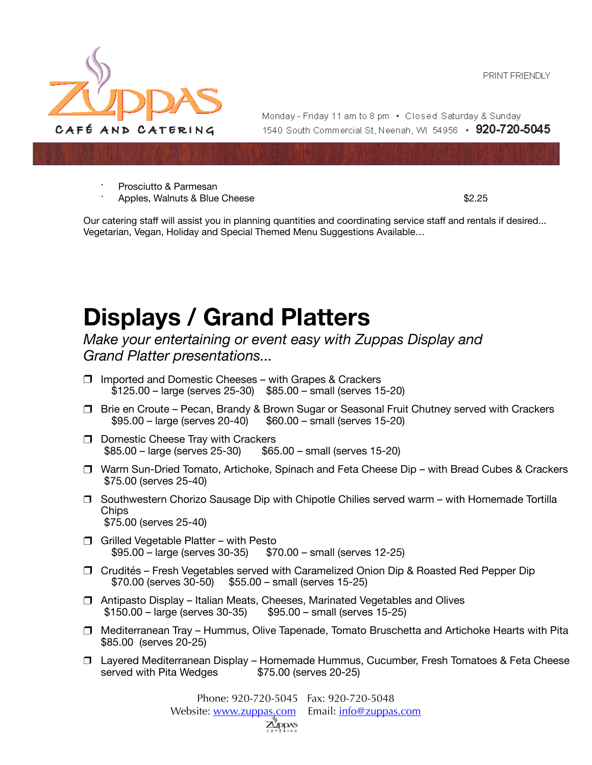

Monday - Friday 11 am to 8 pm • Closed Saturday & Sunday 1540 South Commercial St. Neenah. WI 54956 • 920-720-5045

- ⋅ Prosciutto & Parmesan
- **Apples, Walnuts & Blue Cheese 62.25**

 Our catering staff will assist you in planning quantities and coordinating service staff and rentals if desired... Vegetarian, Vegan, Holiday and Special Themed Menu Suggestions Available…

# **Displays / Grand Platters**

*Make your entertaining or event easy with Zuppas Display and Grand Platter presentations...* 

- ❒ Imported and Domestic Cheeses with Grapes & Crackers \$125.00 – large (serves 25-30) \$85.00 – small (serves 15-20)
- ❒ Brie en Croute Pecan, Brandy & Brown Sugar or Seasonal Fruit Chutney served with Crackers  $$95.00 - large$  (serves 20-40)  $$60.00 - small$  (serves 15-20)
- ❒ Domestic Cheese Tray with Crackers  $$85.00 - large$  (serves 25-30)  $$65.00 - small$  (serves 15-20)
- ❒ Warm Sun-Dried Tomato, Artichoke, Spinach and Feta Cheese Dip with Bread Cubes & Crackers \$75.00 (serves 25-40)
- ❒ Southwestern Chorizo Sausage Dip with Chipotle Chilies served warm with Homemade Tortilla **Chips** \$75.00 (serves 25-40)
- ❒ Grilled Vegetable Platter with Pesto  $$95.00 - large$  (serves 30-35)  $$70.00 - small$  (serves 12-25)
- ❒ Crudités Fresh Vegetables served with Caramelized Onion Dip & Roasted Red Pepper Dip \$70.00 (serves 30-50) \$55.00 – small (serves 15-25)
- ❒ Antipasto Display Italian Meats, Cheeses, Marinated Vegetables and Olives  $$150.00 - large$  (serves 30-35)  $$95.00 - small$  (serves 15-25)
- ❒ Mediterranean Tray Hummus, Olive Tapenade, Tomato Bruschetta and Artichoke Hearts with Pita \$85.00 (serves 20-25)
- ❒ Layered Mediterranean Display Homemade Hummus, Cucumber, Fresh Tomatoes & Feta Cheese served with Pita Wedges \$75.00 (serves 20-25)

Phone: 920-720-5045 Fax: 920-720-5048 Website: [www.zuppas.com](http://www.zuppas.com) Email: [info@zuppas.com](mailto:info@zuppas.com)Z <sub>upp</sub>as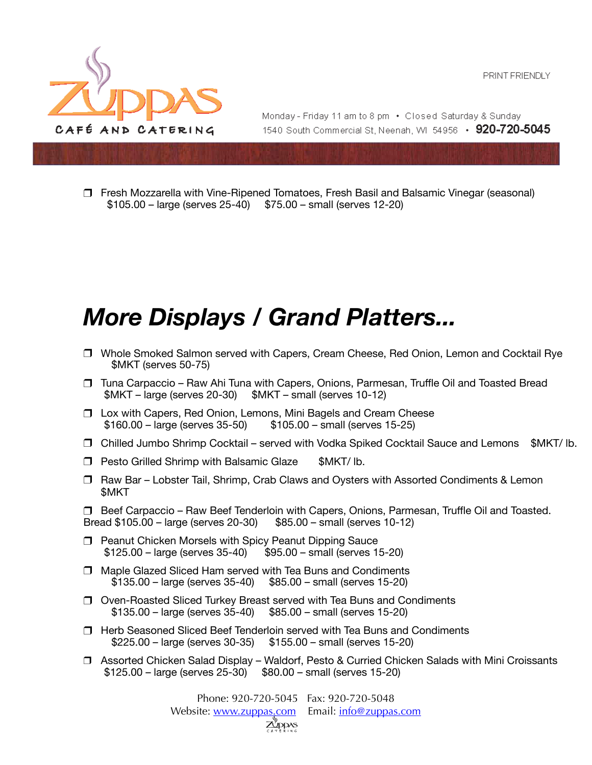

Monday - Friday 11 am to 8 pm • Closed Saturday & Sunday 1540 South Commercial St. Neenah. WI 54956 • 920-720-5045

❒ Fresh Mozzarella with Vine-Ripened Tomatoes, Fresh Basil and Balsamic Vinegar (seasonal)  $$105.00 - \text{large (serves 25-40)}$   $$75.00 - \text{small (serves 12-20)}$ 

# *More Displays / Grand Platters...*

- ❒ Whole Smoked Salmon served with Capers, Cream Cheese, Red Onion, Lemon and Cocktail Rye \$MKT (serves 50-75)
- ❒ Tuna Carpaccio Raw Ahi Tuna with Capers, Onions, Parmesan, Truffle Oil and Toasted Bread  $$MKT - large (serves 20-30)$   $$MKT - small (serves 10-12)$
- ❒ Lox with Capers, Red Onion, Lemons, Mini Bagels and Cream Cheese  $$105.00 - small (serves 15-25)$
- ❒ Chilled Jumbo Shrimp Cocktail served with Vodka Spiked Cocktail Sauce and Lemons \$MKT/ lb.
- ❒ Pesto Grilled Shrimp with Balsamic Glaze \$MKT/ lb.
- ❒ Raw Bar Lobster Tail, Shrimp, Crab Claws and Oysters with Assorted Condiments & Lemon \$MKT

❒ Beef Carpaccio – Raw Beef Tenderloin with Capers, Onions, Parmesan, Truffle Oil and Toasted. Bread \$105.00 – large (serves 20-30) \$85.00 – small (serves 10-12)

- ❒ Peanut Chicken Morsels with Spicy Peanut Dipping Sauce  $$125.00 - large$  (serves 35-40)
- ❒ Maple Glazed Sliced Ham served with Tea Buns and Condiments  $$135.00 - large$  (serves 35-40)  $$85.00 - small$  (serves 15-20)
- ❒ Oven-Roasted Sliced Turkey Breast served with Tea Buns and Condiments  $$135.00 - large$  (serves  $35-40$ )  $$85.00 - small$  (serves  $15-20$ )
- ❒ Herb Seasoned Sliced Beef Tenderloin served with Tea Buns and Condiments  $$225.00 - \text{large (serves 30-35)} \quad $155.00 - \text{small (serves 15-20)}$
- ❒ Assorted Chicken Salad Display Waldorf, Pesto & Curried Chicken Salads with Mini Croissants  $$125.00 - large$  (serves  $25-30$ )  $$80.00 - small$  (serves  $15-20$ )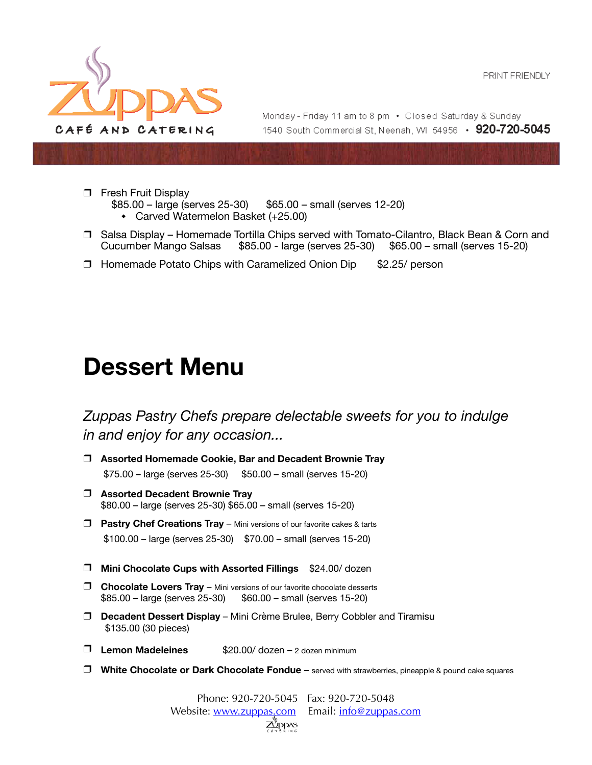

Monday - Friday 11 am to 8 pm • Closed Saturday & Sunday 1540 South Commercial St. Neenah. WI 54956 • 920-720-5045

- ❒ Fresh Fruit Display
	- $$85.00 \text{large (serves 25-30)}$   $$65.00 \text{small (serves 12-20)}$ 
		- ◆ Carved Watermelon Basket (+25.00)
- ❒ Salsa Display Homemade Tortilla Chips served with Tomato-Cilantro, Black Bean & Corn and Cucumber Mango Salsas \$85.00 - large (serves 25-30) \$65.00 – small (serves 15-20)
- ❒ Homemade Potato Chips with Caramelized Onion Dip \$2.25/ person

# **Dessert Menu**

*Zuppas Pastry Chefs prepare delectable sweets for you to indulge in and enjoy for any occasion...* 

- ❒ **Assorted Homemade Cookie, Bar and Decadent Brownie Tray**  \$75.00 – large (serves 25-30) \$50.00 – small (serves 15-20)
- ❒ **Assorted Decadent Brownie Tray**  \$80.00 – large (serves 25-30) \$65.00 – small (serves 15-20)
- ❒ **Pastry Chef Creations Tray** Mini versions of our favorite cakes & tarts \$100.00 – large (serves 25-30) \$70.00 – small (serves 15-20)
- ❒ **Mini Chocolate Cups with Assorted Fillings** \$24.00/ dozen
- ❒ **Chocolate Lovers Tray** Mini versions of our favorite chocolate desserts  $$85.00 - large$  (serves 25-30)  $$60.00 - small$  (serves 15-20)
- ❒ **Decadent Dessert Display** Mini Crème Brulee, Berry Cobbler and Tiramisu \$135.00 (30 pieces)
- ❒ **Lemon Madeleines** \$20.00/ dozen 2 dozen minimum
- ❒ **White Chocolate or Dark Chocolate Fondue** served with strawberries, pineapple & pound cake squares

Phone: 920-720-5045 Fax: 920-720-5048 Website: [www.zuppas.com](http://www.zuppas.com) Email: [info@zuppas.com](mailto:info@zuppas.com) **A'ddas**